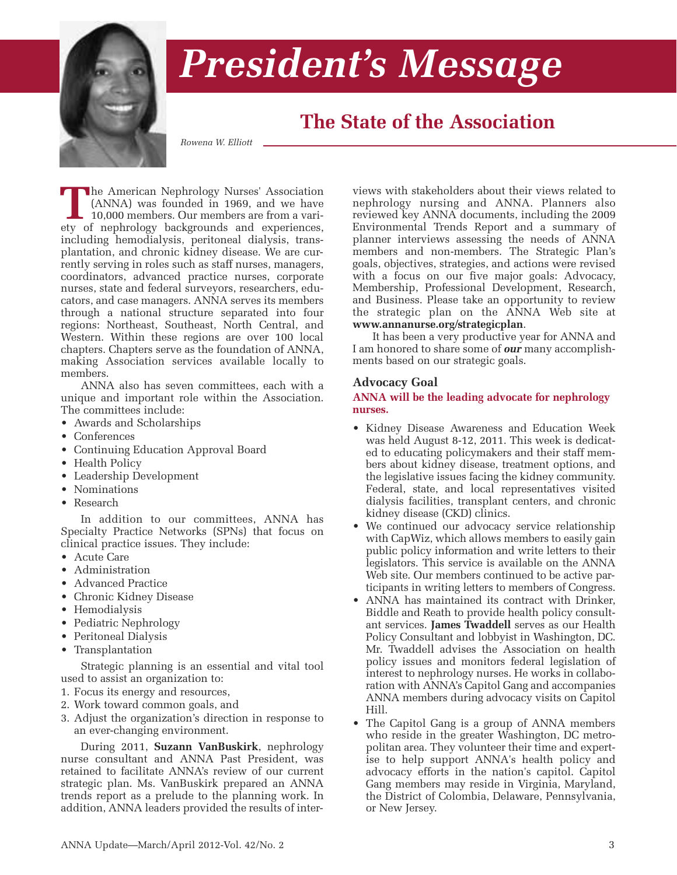

# *President's Message*

# **The State of the Association**

*Rowena W. Elliott*

**T**he American Nephrology Nurses' Association (ANNA) was founded in 1969, and we have 10,000 members. Our members are from a variety of nephrology backgrounds and experiences, including hemodialysis, peritoneal dialysis, transplantation, and chronic kidney disease. We are currently serving in roles such as staff nurses, managers, coordinators, advanced practice nurses, corporate nurses, state and federal surveyors, researchers, educators, and case managers. ANNA serves its members through a national structure separated into four regions: Northeast, Southeast, North Central, and Western. Within these regions are over 100 local chapters. Chapters serve as the foundation of ANNA, making Association services available locally to members.

ANNA also has seven committees, each with a unique and important role within the Association. The committees include:

- Awards and Scholarships
- Conferences
- Continuing Education Approval Board
- Health Policy
- Leadership Development
- Nominations
- Research

In addition to our committees, ANNA has Specialty Practice Networks (SPNs) that focus on clinical practice issues. They include:

- Acute Care
- Administration
- Advanced Practice
- Chronic Kidney Disease
- Hemodialysis
- Pediatric Nephrology
- Peritoneal Dialysis
- Transplantation

Strategic planning is an essential and vital tool used to assist an organization to:

- 1. Focus its energy and resources,
- 2. Work toward common goals, and
- 3. Adjust the organization's direction in response to an ever-changing environment.

During 2011, **Suzann VanBuskirk**, nephrology nurse consultant and ANNA Past President, was retained to facilitate ANNA's review of our current strategic plan. Ms. VanBuskirk prepared an ANNA trends report as a prelude to the planning work. In addition, ANNA leaders provided the results of interviews with stakeholders about their views related to nephrology nursing and ANNA. Planners also reviewed key ANNA documents, including the 2009 Environmental Trends Report and a summary of planner interviews assessing the needs of ANNA members and non-members. The Strategic Plan's goals, objectives, strategies, and actions were revised with a focus on our five major goals: Advocacy, Membership, Professional Development, Research, and Business. Please take an opportunity to review the strategic plan on the ANNA Web site at **www.annanurse.org/strategicplan**.

It has been a very productive year for ANNA and I am honored to share some of *our* many accomplishments based on our strategic goals.

#### **Advocacy Goal**

**ANNA will be the leading advocate for nephrology nurses.**

- Kidney Disease Awareness and Education Week was held August 8-12, 2011. This week is dedicated to educating policymakers and their staff members about kidney disease, treatment options, and the legislative issues facing the kidney community. Federal, state, and local representatives visited dialysis facilities, transplant centers, and chronic kidney disease (CKD) clinics.
- We continued our advocacy service relationship with CapWiz, which allows members to easily gain public policy information and write letters to their legislators. This service is available on the ANNA Web site. Our members continued to be active participants in writing letters to members of Congress.
- ANNA has maintained its contract with Drinker, Biddle and Reath to provide health policy consultant services. **James Twaddell** serves as our Health Policy Consultant and lobbyist in Washington, DC. Mr. Twaddell advises the Association on health policy issues and monitors federal legislation of interest to nephrology nurses. He works in collaboration with ANNA's Capitol Gang and accompanies ANNA members during advocacy visits on Capitol Hill.
- The Capitol Gang is a group of ANNA members who reside in the greater Washington, DC metropolitan area. They volunteer their time and expertise to help support ANNA's health policy and advocacy efforts in the nation's capitol. Capitol Gang members may reside in Virginia, Maryland, the District of Colombia, Delaware, Pennsylvania, or New Jersey.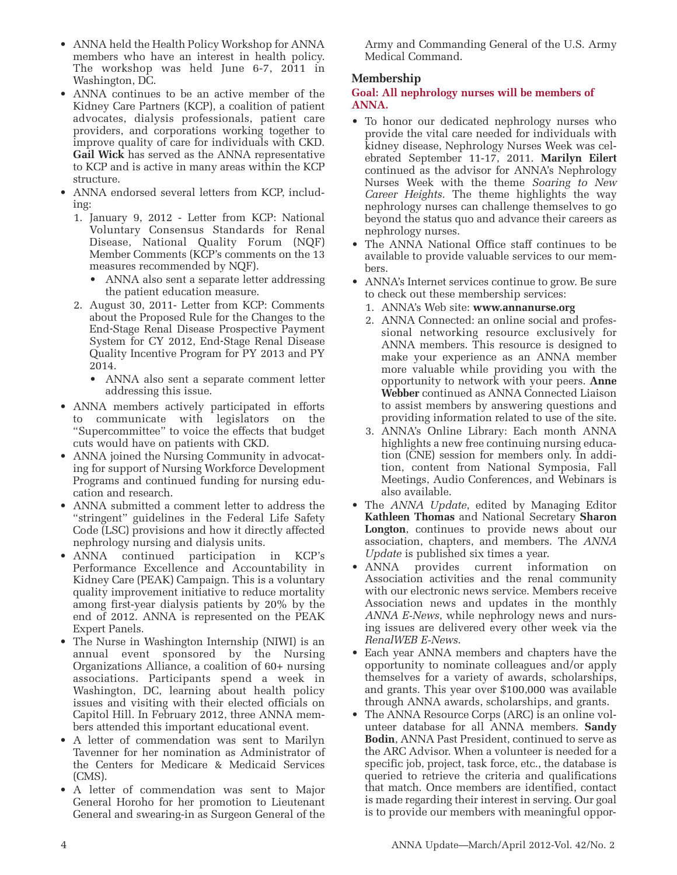- ANNA held the Health Policy Workshop for ANNA members who have an interest in health policy. The workshop was held June 6-7, 2011 in Washington, DC.
- ANNA continues to be an active member of the Kidney Care Partners (KCP), a coalition of patient advocates, dialysis professionals, patient care providers, and corporations working together to improve quality of care for individuals with CKD. **Gail Wick** has served as the ANNA representative to KCP and is active in many areas within the KCP structure.
- ANNA endorsed several letters from KCP, including:
	- 1. January 9, 2012 Letter from KCP: National Voluntary Consensus Standards for Renal Disease, National Quality Forum (NQF) Member Comments (KCP's comments on the 13 measures recommended by NQF).
		- ANNA also sent a separate letter addressing the patient education measure.
	- 2. August 30, 2011- Letter from KCP: Comments about the Proposed Rule for the Changes to the End-Stage Renal Disease Prospective Payment System for CY 2012, End-Stage Renal Disease Quality Incentive Program for PY 2013 and PY 2014.
		- ANNA also sent a separate comment letter addressing this issue.
- ANNA members actively participated in efforts to communicate with legislators on the "Supercommittee" to voice the effects that budget cuts would have on patients with CKD.
- ANNA joined the Nursing Community in advocating for support of Nursing Workforce Development Programs and continued funding for nursing education and research.
- ANNA submitted a comment letter to address the "stringent" guidelines in the Federal Life Safety Code (LSC) provisions and how it directly affected nephrology nursing and dialysis units.
- ANNA continued participation in KCP's Performance Excellence and Accountability in Kidney Care (PEAK) Campaign. This is a voluntary quality improvement initiative to reduce mortality among first-year dialysis patients by 20% by the end of 2012. ANNA is represented on the PEAK Expert Panels.
- The Nurse in Washington Internship (NIWI) is an annual event sponsored by the Nursing Organizations Alliance, a coalition of 60+ nursing associations. Participants spend a week in Washington, DC, learning about health policy issues and visiting with their elected officials on Capitol Hill. In February 2012, three ANNA members attended this important educational event.
- A letter of commendation was sent to Marilyn Tavenner for her nomination as Administrator of the Centers for Medicare & Medicaid Services (CMS).
- A letter of commendation was sent to Major General Horoho for her promotion to Lieutenant General and swearing-in as Surgeon General of the

Army and Commanding General of the U.S. Army Medical Command.

# **Membership**

#### **Goal: All nephrology nurses will be members of ANNA.**

- To honor our dedicated nephrology nurses who provide the vital care needed for individuals with kidney disease, Nephrology Nurses Week was celebrated September 11-17, 2011. **Marilyn Eilert** continued as the advisor for ANNA's Nephrology Nurses Week with the theme *Soaring to New Career Heights.* The theme highlights the way nephrology nurses can challenge themselves to go beyond the status quo and advance their careers as nephrology nurses.
- The ANNA National Office staff continues to be available to provide valuable services to our members.
- ANNA's Internet services continue to grow. Be sure to check out these membership services:
	- 1. ANNA's Web site: **www.annanurse.org**
	- 2. ANNA Connected: an online social and professional networking resource exclusively for ANNA members. This resource is designed to make your experience as an ANNA member more valuable while providing you with the opportunity to network with your peers. **Anne Webber** continued as ANNA Connected Liaison to assist members by answering questions and providing information related to use of the site.
	- 3. ANNA's Online Library: Each month ANNA highlights a new free continuing nursing education (CNE) session for members only. In addition, content from National Symposia, Fall Meetings, Audio Conferences, and Webinars is also available.
- The *ANNA Update*, edited by Managing Editor **Kathleen Thomas** and National Secretary **Sharon Longton**, continues to provide news about our association, chapters, and members. The *ANNA Update* is published six times a year.
- ANNA provides current information on Association activities and the renal community with our electronic news service. Members receive Association news and updates in the monthly *ANNA E-News*, while nephrology news and nursing issues are delivered every other week via the *RenalWEB E-News*.
- Each year ANNA members and chapters have the opportunity to nominate colleagues and/or apply themselves for a variety of awards, scholarships, and grants. This year over \$100,000 was available through ANNA awards, scholarships, and grants.
- The ANNA Resource Corps (ARC) is an online volunteer database for all ANNA members. **Sandy Bodin**, ANNA Past President, continued to serve as the ARC Advisor. When a volunteer is needed for a specific job, project, task force, etc., the database is queried to retrieve the criteria and qualifications that match. Once members are identified, contact is made regarding their interest in serving. Our goal is to provide our members with meaningful oppor-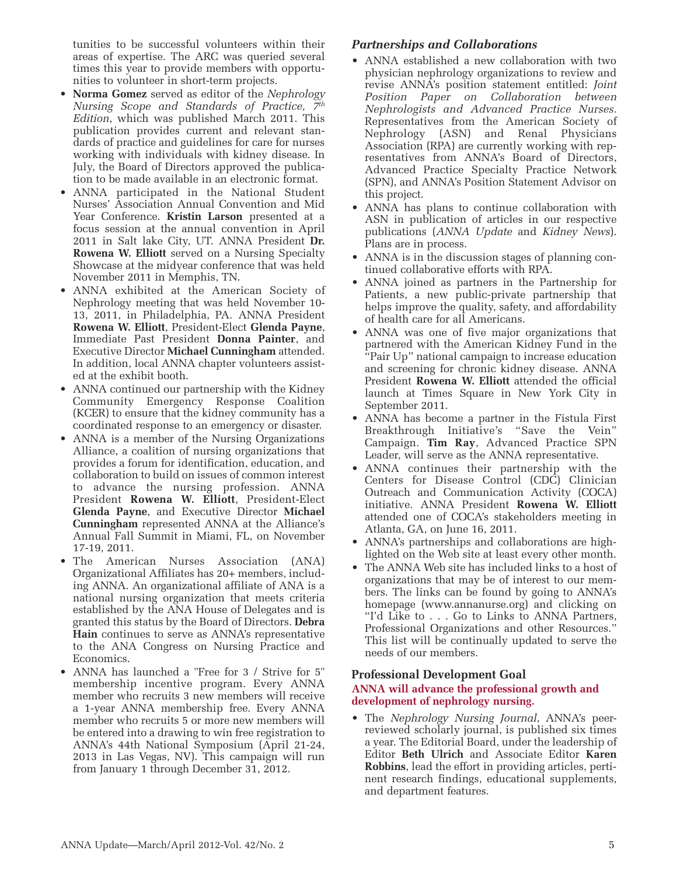tunities to be successful volunteers within their areas of expertise. The ARC was queried several times this year to provide members with opportunities to volunteer in short-term projects.

- **Norma Gomez** served as editor of the *Nephrology Nursing Scope and Standards of Practice, 7th Edition*, which was published March 2011. This publication provides current and relevant standards of practice and guidelines for care for nurses working with individuals with kidney disease. In July, the Board of Directors approved the publication to be made available in an electronic format.
- ANNA participated in the National Student Nurses' Association Annual Convention and Mid Year Conference. **Kristin Larson** presented at a focus session at the annual convention in April 2011 in Salt lake City, UT. ANNA President **Dr. Rowena W. Elliott** served on a Nursing Specialty Showcase at the midyear conference that was held November 2011 in Memphis, TN.
- ANNA exhibited at the American Society of Nephrology meeting that was held November 10- 13, 2011, in Philadelphia, PA. ANNA President **Rowena W. Elliott**, President-Elect **Glenda Payne**, Immediate Past President **Donna Painter**, and Executive Director **Michael Cunningham** attended. In addition, local ANNA chapter volunteers assisted at the exhibit booth.
- ANNA continued our partnership with the Kidney Community Emergency Response Coalition (KCER) to ensure that the kidney community has a coordinated response to an emergency or disaster.
- ANNA is a member of the Nursing Organizations Alliance, a coalition of nursing organizations that provides a forum for identification, education, and collaboration to build on issues of common interest to advance the nursing profession. ANNA President **Rowena W. Elliott**, President-Elect **Glenda Payne**, and Executive Director **Michael Cunningham** represented ANNA at the Alliance's Annual Fall Summit in Miami, FL, on November 17-19, 2011.
- The American Nurses Association (ANA) Organizational Affiliates has 20+ members, including ANNA. An organizational affiliate of ANA is a national nursing organization that meets criteria established by the ANA House of Delegates and is granted this status by the Board of Directors. **Debra Hain** continues to serve as ANNA's representative to the ANA Congress on Nursing Practice and Economics.
- ANNA has launched a "Free for 3 / Strive for 5" membership incentive program. Every ANNA member who recruits 3 new members will receive a 1-year ANNA membership free. Every ANNA member who recruits 5 or more new members will be entered into a drawing to win free registration to ANNA's 44th National Symposium (April 21-24, 2013 in Las Vegas, NV). This campaign will run from January 1 through December 31, 2012.

# *Partnerships and Collaborations*

- ANNA established a new collaboration with two physician nephrology organizations to review and revise ANNA's position statement entitled: *Joint Position Paper on Collaboration between Nephrologists and Advanced Practice Nurses.* Representatives from the American Society of Nephrology (ASN) and Renal Physicians Association (RPA) are currently working with representatives from ANNA's Board of Directors, Advanced Practice Specialty Practice Network (SPN), and ANNA's Position Statement Advisor on this project.
- ANNA has plans to continue collaboration with ASN in publication of articles in our respective publications (*ANNA Update* and *Kidney News*). Plans are in process.
- ANNA is in the discussion stages of planning continued collaborative efforts with RPA.
- ANNA joined as partners in the Partnership for Patients, a new public-private partnership that helps improve the quality, safety, and affordability of health care for all Americans.
- ANNA was one of five major organizations that partnered with the American Kidney Fund in the "Pair Up" national campaign to increase education and screening for chronic kidney disease. ANNA President **Rowena W. Elliott** attended the official launch at Times Square in New York City in September 2011.
- ANNA has become a partner in the Fistula First Breakthrough Initiative's "Save the Vein" Campaign. **Tim Ray**, Advanced Practice SPN Leader, will serve as the ANNA representative.
- ANNA continues their partnership with the Centers for Disease Control (CDC) Clinician Outreach and Communication Activity (COCA) initiative. ANNA President **Rowena W. Elliott** attended one of COCA's stakeholders meeting in Atlanta, GA, on June 16, 2011.
- ANNA's partnerships and collaborations are highlighted on the Web site at least every other month.
- The ANNA Web site has included links to a host of organizations that may be of interest to our members. The links can be found by going to ANNA's homepage (www.annanurse.org) and clicking on "I'd Like to . . . Go to Links to ANNA Partners, Professional Organizations and other Resources." This list will be continually updated to serve the needs of our members.

### **Professional Development Goal**

# **ANNA will advance the professional growth and development of nephrology nursing.**

• The *Nephrology Nursing Journal*, ANNA's peerreviewed scholarly journal, is published six times a year. The Editorial Board, under the leadership of Editor **Beth Ulrich** and Associate Editor **Karen Robbins**, lead the effort in providing articles, pertinent research findings, educational supplements, and department features.